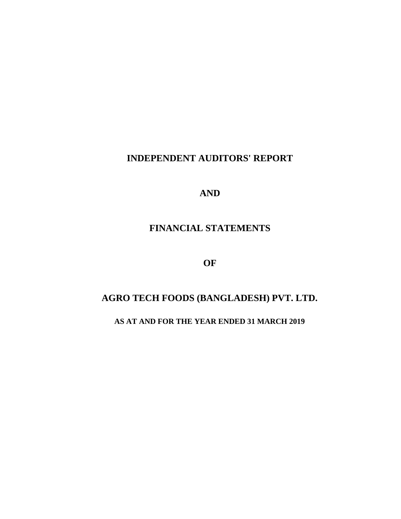# **INDEPENDENT AUDITORS' REPORT**

**AND**

# **FINANCIAL STATEMENTS**

**OF**

# **AGRO TECH FOODS (BANGLADESH) PVT. LTD.**

**AS AT AND FOR THE YEAR ENDED 31 MARCH 2019**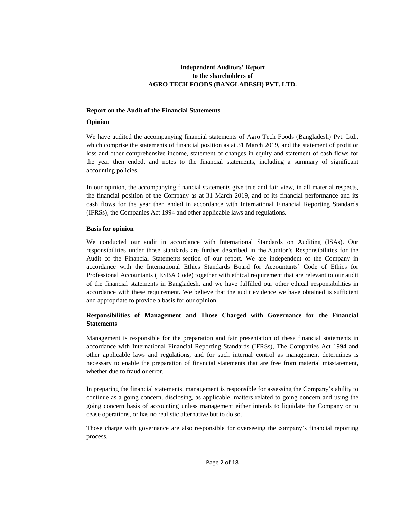## **Independent Auditors' Report to the shareholders of AGRO TECH FOODS (BANGLADESH) PVT. LTD.**

### **Report on the Audit of the Financial Statements**

### **Opinion**

We have audited the accompanying financial statements of Agro Tech Foods (Bangladesh) Pvt. Ltd., which comprise the statements of financial position as at 31 March 2019, and the statement of profit or loss and other comprehensive income, statement of changes in equity and statement of cash flows for the year then ended, and notes to the financial statements, including a summary of significant accounting policies.

In our opinion, the accompanying financial statements give true and fair view, in all material respects, the financial position of the Company as at 31 March 2019, and of its financial performance and its cash flows for the year then ended in accordance with International Financial Reporting Standards (IFRSs), the Companies Act 1994 and other applicable laws and regulations.

### **Basis for opinion**

We conducted our audit in accordance with International Standards on Auditing (ISAs). Our responsibilities under those standards are further described in the Auditor's Responsibilities for the Audit of the Financial Statements section of our report. We are independent of the Company in accordance with the International Ethics Standards Board for Accountants' Code of Ethics for Professional Accountants (IESBA Code) together with ethical requirement that are relevant to our audit of the financial statements in Bangladesh, and we have fulfilled our other ethical responsibilities in accordance with these requirement. We believe that the audit evidence we have obtained is sufficient and appropriate to provide a basis for our opinion.

## **Responsibilities of Management and Those Charged with Governance for the Financial Statements**

Management is responsible for the preparation and fair presentation of these financial statements in accordance with International Financial Reporting Standards (IFRSs), The Companies Act 1994 and other applicable laws and regulations, and for such internal control as management determines is necessary to enable the preparation of financial statements that are free from material misstatement, whether due to fraud or error.

In preparing the financial statements, management is responsible for assessing the Company's ability to continue as a going concern, disclosing, as applicable, matters related to going concern and using the going concern basis of accounting unless management either intends to liquidate the Company or to cease operations, or has no realistic alternative but to do so.

Those charge with governance are also responsible for overseeing the company's financial reporting process.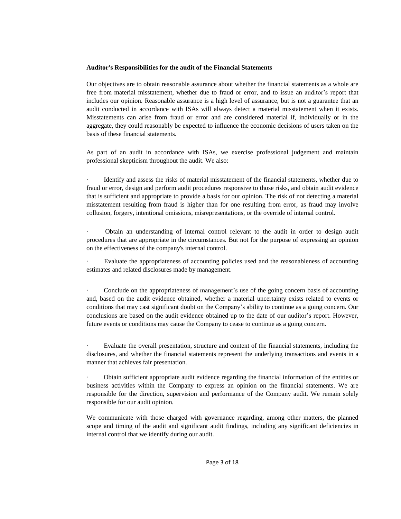### **Auditor's Responsibilities for the audit of the Financial Statements**

Our objectives are to obtain reasonable assurance about whether the financial statements as a whole are free from material misstatement, whether due to fraud or error, and to issue an auditor's report that includes our opinion. Reasonable assurance is a high level of assurance, but is not a guarantee that an audit conducted in accordance with ISAs will always detect a material misstatement when it exists. Misstatements can arise from fraud or error and are considered material if, individually or in the aggregate, they could reasonably be expected to influence the economic decisions of users taken on the basis of these financial statements.

As part of an audit in accordance with ISAs, we exercise professional judgement and maintain professional skepticism throughout the audit. We also:

Identify and assess the risks of material misstatement of the financial statements, whether due to fraud or error, design and perform audit procedures responsive to those risks, and obtain audit evidence that is sufficient and appropriate to provide a basis for our opinion. The risk of not detecting a material misstatement resulting from fraud is higher than for one resulting from error, as fraud may involve collusion, forgery, intentional omissions, misrepresentations, or the override of internal control.

· Obtain an understanding of internal control relevant to the audit in order to design audit procedures that are appropriate in the circumstances. But not for the purpose of expressing an opinion on the effectiveness of the company's internal control.

Evaluate the appropriateness of accounting policies used and the reasonableness of accounting estimates and related disclosures made by management.

Conclude on the appropriateness of management's use of the going concern basis of accounting and, based on the audit evidence obtained, whether a material uncertainty exists related to events or conditions that may cast significant doubt on the Company's ability to continue as a going concern. Our conclusions are based on the audit evidence obtained up to the date of our auditor's report. However, future events or conditions may cause the Company to cease to continue as a going concern.

Evaluate the overall presentation, structure and content of the financial statements, including the disclosures, and whether the financial statements represent the underlying transactions and events in a manner that achieves fair presentation.

· Obtain sufficient appropriate audit evidence regarding the financial information of the entities or business activities within the Company to express an opinion on the financial statements. We are responsible for the direction, supervision and performance of the Company audit. We remain solely responsible for our audit opinion.

We communicate with those charged with governance regarding, among other matters, the planned scope and timing of the audit and significant audit findings, including any significant deficiencies in internal control that we identify during our audit.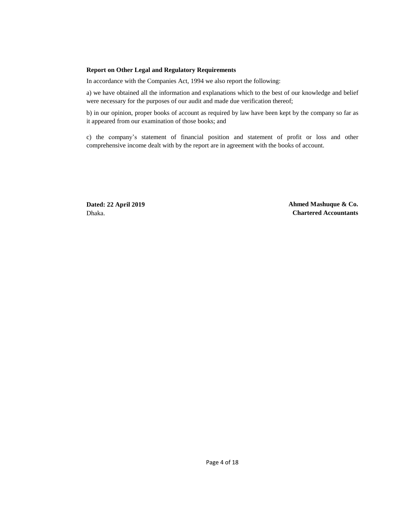### **Report on Other Legal and Regulatory Requirements**

In accordance with the Companies Act, 1994 we also report the following:

a) we have obtained all the information and explanations which to the best of our knowledge and belief were necessary for the purposes of our audit and made due verification thereof;

b) in our opinion, proper books of account as required by law have been kept by the company so far as it appeared from our examination of those books; and

c) the company's statement of financial position and statement of profit or loss and other comprehensive income dealt with by the report are in agreement with the books of account.

**Dated: 22 April 2019**

Dhaka. **Chartered Accountants Ahmed Mashuque & Co.**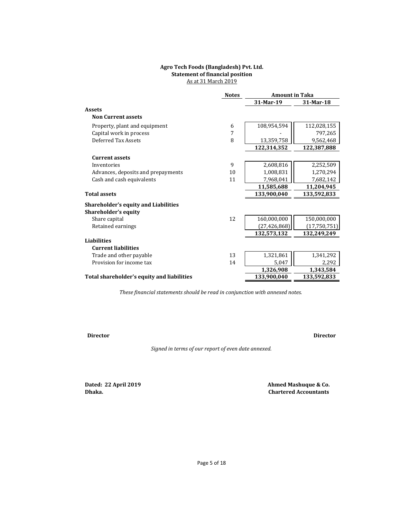### **Agro Tech Foods (Bangladesh) Pvt. Ltd. Statement of financial position** As at 31 March 2019

|                                             | <b>Notes</b> | <b>Amount in Taka</b> |              |
|---------------------------------------------|--------------|-----------------------|--------------|
|                                             |              | 31-Mar-19             | 31-Mar-18    |
| <b>Assets</b>                               |              |                       |              |
| <b>Non Current assets</b>                   |              |                       |              |
| Property, plant and equipment               | 6            | 108,954,594           | 112,028,155  |
| Capital work in process                     | 7            |                       | 797,265      |
| Deferred Tax Assets                         | 8            | 13,359,758            | 9,562,468    |
|                                             |              | 122,314,352           | 122,387,888  |
| <b>Current assets</b>                       |              |                       |              |
| Inventories                                 | 9            | 2,608,816             | 2,252,509    |
| Advances, deposits and prepayments          | 10           | 1,008,831             | 1,270,294    |
| Cash and cash equivalents                   | 11           | 7,968,041             | 7,682,142    |
|                                             |              | 11,585,688            | 11,204,945   |
| <b>Total assets</b>                         |              | 133,900,040           | 133,592,833  |
| <b>Shareholder's equity and Liabilities</b> |              |                       |              |
| <b>Shareholder's equity</b>                 |              |                       |              |
| Share capital                               | 12           | 160,000,000           | 150,000,000  |
| Retained earnings                           |              | (27, 426, 868)        | (17,750,751) |
|                                             |              | 132,573,132           | 132,249,249  |
| Liabilities                                 |              |                       |              |
| <b>Current liabilities</b>                  |              |                       |              |
| Trade and other payable                     | 13           | 1,321,861             | 1,341,292    |
| Provision for income tax                    | 14           | 5,047                 | 2,292        |
|                                             |              | 1,326,908             | 1,343,584    |
| Total shareholder's equity and liabilities  |              | 133,900,040           | 133,592,833  |

*These financial statements should be read in conjunction with annexed notes.* 

**Director Director**

*Signed in terms of our report of even date annexed.*

**Dated: 22 April 2019 Dhaka.**

 **Ahmed Mashuque & Co. Chartered Accountants**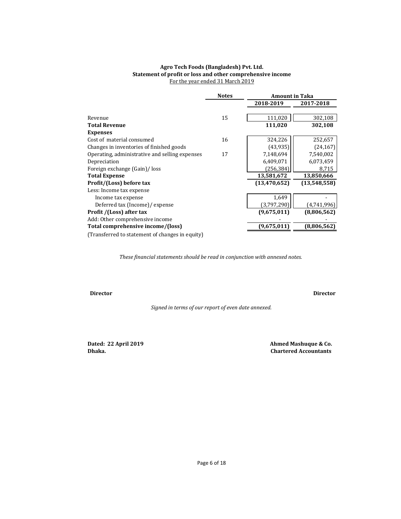### **Agro Tech Foods (Bangladesh) Pvt. Ltd. Statement of profit or loss and other comprehensive income** For the year ended 31 March 2019

|                                                 | <b>Notes</b> | <b>Amount in Taka</b>      |                |
|-------------------------------------------------|--------------|----------------------------|----------------|
|                                                 |              | 2018-2019                  | 2017-2018      |
|                                                 |              |                            |                |
| Revenue                                         | 15           | 111,020                    | 302,108        |
| <b>Total Revenue</b>                            |              | 111,020                    | 302,108        |
| <b>Expenses</b>                                 |              |                            |                |
| Cost of material consumed                       | 16           | 324,226                    | 252,657        |
| Changes in inventories of finished goods        |              | (43, 935)                  | (24, 167)      |
| Operating, administrative and selling expenses  | 17           | 7,148,694                  | 7,540,002      |
| Depreciation                                    |              | 6,409,071                  | 6,073,459      |
| Foreign exchange (Gain)/ loss                   |              | (256, 384)                 | 8,715          |
| <b>Total Expense</b>                            |              | 13,581,672                 | 13,850,666     |
| Profit/(Loss) before tax                        |              | (13, 470, 652)             | (13, 548, 558) |
| Less: Income tax expense                        |              |                            |                |
| Income tax expense                              |              | 1,649                      |                |
| Deferred tax (Income)/ expense                  |              | (3,797,290)                | (4,741,996)    |
| Profit /(Loss) after tax                        |              | (9,675,011)                | (8,806,562)    |
| Add: Other comprehensive income                 |              |                            |                |
| Total comprehensive income/(loss)               |              | (9,675,011)<br>(8,806,562) |                |
| (Transferred to statement of changes in equity) |              |                            |                |

*These financial statements should be read in conjunction with annexed notes.* 

#### **Director Director**

*Signed in terms of our report of even date annexed.*

**Dated: 22 April 2019 Dhaka.**

 **Ahmed Mashuque & Co. Chartered Accountants**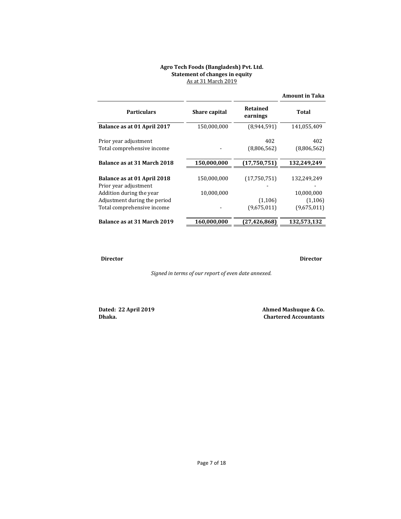### **Agro Tech Foods (Bangladesh) Pvt. Ltd. Statement of changes in equity** As at 31 March 2019

|                      |                         | <b>Amount in Taka</b>   |
|----------------------|-------------------------|-------------------------|
| <b>Share capital</b> | Retained<br>earnings    | Total                   |
| 150,000,000          | (8,944,591)             | 141,055,409             |
|                      | 402<br>(8,806,562)      | 402<br>(8,806,562)      |
| 150,000,000          | (17,750,751)            | 132,249,249             |
| 150,000,000          | (17,750,751)            | 132,249,249             |
| 10,000,000           |                         | 10,000,000              |
|                      | (1, 106)<br>(9,675,011) | (1, 106)<br>(9,675,011) |
| 160,000,000          | (27, 426, 868)          | 132,573,132             |
|                      |                         |                         |

**Director Director**

*Signed in terms of our report of even date annexed.*

**Dated: 22 April 2019 Ahmed Mashuque & Co. Dhaka. Chartered Accountants**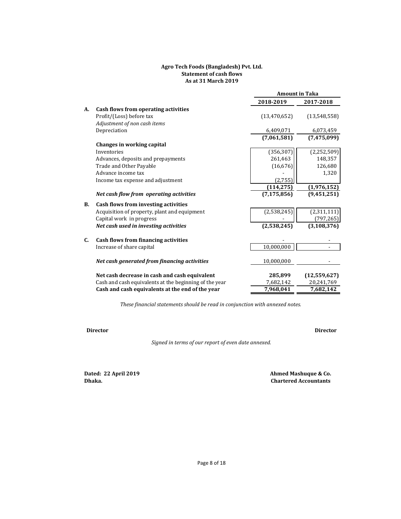### **Agro Tech Foods (Bangladesh) Pvt. Ltd. Statement of cash flows As at 31 March 2019**

|    |                                                        | <b>Amount in Taka</b> |                |
|----|--------------------------------------------------------|-----------------------|----------------|
|    |                                                        | 2018-2019             | 2017-2018      |
| A. | Cash flows from operating activities                   |                       |                |
|    | Profit/(Loss) before tax                               | (13, 470, 652)        | (13,548,558)   |
|    | Adjustment of non cash items                           |                       |                |
|    | Depreciation                                           | 6,409,071             | 6,073,459      |
|    |                                                        | (7,061,581)           | (7, 475, 099)  |
|    | Changes in working capital                             |                       |                |
|    | Inventories                                            | (356, 307)            | (2, 252, 509)  |
|    | Advances, deposits and prepayments                     | 261,463               | 148,357        |
|    | Trade and Other Payable                                | (16, 676)             | 126,680        |
|    | Advance income tax                                     |                       | 1,320          |
|    | Income tax expense and adjustment                      | (2,755)               |                |
|    |                                                        | (114, 275)            | (1,976,152)    |
|    | Net cash flow from operating activities                | (7, 175, 856)         | (9,451,251)    |
| В. | Cash flows from investing activities                   |                       |                |
|    | Acquisition of property, plant and equipment           | (2,538,245)           | (2,311,111)    |
|    | Capital work in progress                               |                       | (797, 265)     |
|    | Net cash used in investing activities                  | (2,538,245)           | (3, 108, 376)  |
| C. | Cash flows from financing activities                   |                       |                |
|    | Increase of share capital                              | 10,000,000            |                |
|    | Net cash generated from financing activities           | 10,000,000            |                |
|    |                                                        |                       |                |
|    | Net cash decrease in cash and cash equivalent          | 285,899               | (12, 559, 627) |
|    | Cash and cash equivalents at the beginning of the year | 7,682,142             | 20,241,769     |
|    | Cash and cash equivalents at the end of the year       | 7,968,041             | 7,682,142      |

*These financial statements should be read in conjunction with annexed notes.* 

**Director Director**

*Signed in terms of our report of even date annexed.*

**Dated: 22 April 2019 Dhaka.**

 **Ahmed Mashuque & Co. Chartered Accountants**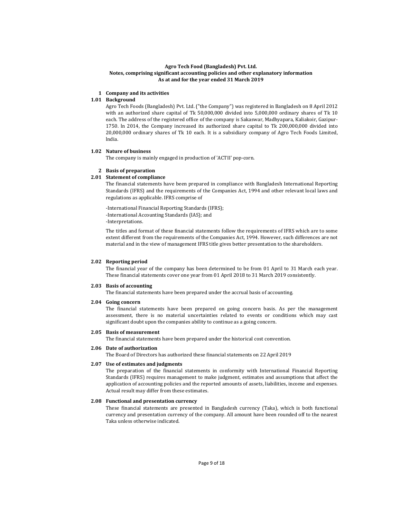#### **Agro Tech Food (Bangladesh) Pvt. Ltd. Notes, comprising significant accounting policies and other explanatory information As at and for the year ended 31 March 2019**

#### **1 Company and its activities**

#### **1.01 Background**

Agro Tech Foods (Bangladesh) Pvt. Ltd. ("the Company") was registered in Bangladesh on 8 April 2012 with an authorized share capital of Tk 50,000,000 divided into 5,000,000 ordinary shares of Tk 10 each. The address of the registered office of the company is Sakaswar, Madhyapara, Kaliakoir, Gazipur-1750. ln 2014, the Company increased its authorized share capital to Tk 200,000,000 divided into 20,000,000 ordinary shares of Tk 10 each. It is a subsidiary company of Agro Tech Foods Limited, lndia.

#### **1.02 Nature of business**

The company is mainly engaged in production of 'ACTII' pop-corn.

#### **2 Basis of preparation**

#### **2.01 Statement of compliance**

The financial statements have been prepared in compliance with Bangladesh International Reporting Standards (IFRS) and the requirements of the Companies Act, 1994 and other relevant local laws and regulations as applicable. IFRS comprise of

-International Financial Reporting Standards (IFRS); -International Accounting Standards (IAS); and -Interpretations.

The titles and format of these financial statements follow the requirements of IFRS which are to some extent different from the requirements of the Companies Act, 1994. However, such differences are not material and in the view of management IFRS title gives better presentation to the shareholders.

### **2.02 Reporting period**

The financial year of the company has been determined to be from 01 April to 31 March each year. These financial statements cover one year from 01 April 2018 to 31 March 2019 consistently.

#### **2.03 Basis of accounting**

The financial statements have been prepared under the accrual basis of accounting.

#### **2.04 Going concern**

The financial statements have been prepared on going concern basis. As per the management assessment, there is no material uncertainties related to events or conditions which may cast significant doubt upon the companies ability to continue as a going concern.

#### **2.05 Basis of measurement**

The financial statements have been prepared under the historical cost convention.

#### **2.06 Date of authorization**

The Board of Directors has authorized these financial statements on 22 April 2019

#### **2.07 Use of estimates and judgments**

The preparation of the financial statements in conformity with International Financial Reporting Standards (IFRS) requires management to make judgment, estimates and assumptions that affect the application of accounting policies and the reported amounts of assets, liabilities, income and expenses. Actual result may differ from these estimates.

#### **2.08 Functional and presentation currency**

These financial statements are presented in Bangladesh currency (Taka), which is both functional currency and presentation currency of the company. All amount have been rounded off to the nearest Taka unless otherwise indicated.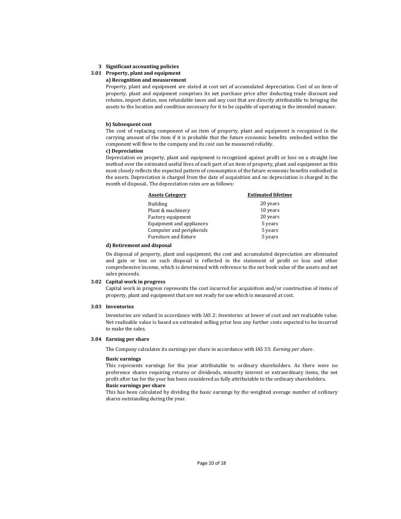### **3 Significant accounting policies**

### **3.01 Property, plant and equipment**

### **a) Recognition and measurement**

Property, plant and equipment are stated at cost net of accumulated depreciation. Cost of an item of property, plant and equipment comprises its net purchase price after deducting trade discount and rebates, import duties, non refundable taxes and any cost that are directly attributable to bringing the assets to the location and condition necessary for it to be capable of operating in the intended manner.

#### **b) Subsequent cost**

The cost of replacing component of an item of property, plant and equipment is recognized in the carrying amount of the item if it is probable that the future economic benefits embodied within the component will flow to the company and its cost can be measured reliably.

### **c) Depreciation**

Depreciation on property, plant and equipment is recognized against profit or loss on a straight line method over the estimated useful lives of each part of an item of property, plant and equipment as this most closely reflects the expected pattern of consumption of the future economic benefits embodied in the assets. Depreciation is charged from the date of acquisition and no depreciation is charged in the month of disposal.. The depreciation rates are as follows:

| <b>Assets Category</b>   | <b>Estimated lifetime</b> |
|--------------------------|---------------------------|
| <b>Building</b>          | 20 years                  |
| Plant & machinery        | 10 years                  |
| Factory equipment        | 20 years                  |
| Equipment and appliances | 5 years                   |
| Computer and peripherals | 5 years                   |
| Furniture and fixture    | 5 years                   |

#### **d) Retirement and disposal**

On disposal of property, plant and equipment, the cost and accumulated depreciation are eliminated and gain or loss on such disposal is reflected in the statement of profit or loss and other comprehensive income, which is determined with reference to the net book value of the assets and net sales proceeds.

#### **3.02 Capital work in progress**

Capital work in progress represents the cost incurred for acquisition and/or construction of items of property, plant and equipment that are not ready for use which is measured at cost.

### **3.03 Inventories**

Inventories are valued in accordance with IAS 2: *Inventories* at lower of cost and net realizable value. Net realizable value is based on estimated selling price less any further costs expected to be incurred to make the sales.

#### **3.04 Earning per share**

The Company calculates its earnings per share in accordance with IAS 33: *Earning per share* .

#### **Basic earnings**

**Basic earnings per share** This represents earnings for the year attributable to ordinary shareholders. As there were no preference shares requiring returns or dividends, minority interest or extraordinary items, the net profit after tax for the year has been considered as fully attributable to the ordinary shareholders.

This has been calculated by dividing the basic earnings by the weighted average number of ordinary shares outstanding during the year.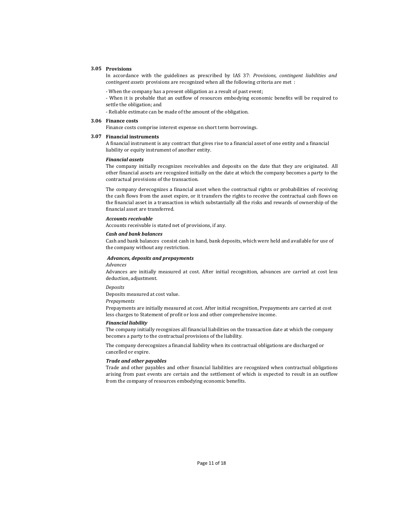#### **3.05 Provisions**

In accordance with the guidelines as prescribed by IAS 37: *Provisions, contingent liabilities and contingent assets* provisions are recognized when all the following criteria are met :

- When the company has a present obligation as a result of past event;

- When it is probable that an outflow of resources embodying economic benefits will be required to settle the obligation; and

- Reliable estimate can be made of the amount of the obligation.

### **3.06 Finance costs**

Finance costs comprise interest expense on short term borrowings.

### **3.07 Financial instruments**

A financial instrument is any contract that gives rise to a financial asset of one entity and a financial liability or equity instrument of another entity.

#### *Financial assets*

The company initially recognizes receivables and deposits on the date that they are originated. All other financial assets are recognized initially on the date at which the company becomes a party to the contractual provisions of the transaction.

The company derecognizes a financial asset when the contractual rights or probabilities of receiving the cash flows from the asset expire, or it transfers the rights to receive the contractual cash flows on the financial asset in a transaction in which substantially all the risks and rewards of ownership of the financial asset are transferred.

#### *Accounts receivable*

Accounts receivable is stated net of provisions, if any.

### *Cash and bank balances*

Cash and bank balances consist cash in hand, bank deposits, which were held and available for use of the company without any restriction.

#### *Advances, deposits and prepayments*

*Advances*

Advances are initially measured at cost. After initial recognition, advances are carried at cost less deduction, adjustment.

#### *Deposits*

Deposits measured at cost value.

*Prepayments*

Prepayments are initially measured at cost. After initial recognition, Prepayments are carried at cost less charges to Statement of profit or loss and other comprehensive income.

#### *Financial liability*

The company initially recognizes all financial liabilities on the transaction date at which the company becomes a party to the contractual provisions of the liability.

The company derecognizes a financial liability when its contractual obligations are discharged or cancelled or expire.

#### *Trade and other payables*

Trade and other payables and other financial liabilities are recognized when contractual obligations arising from past events are certain and the settlement of which is expected to result in an outflow from the company of resources embodying economic benefits.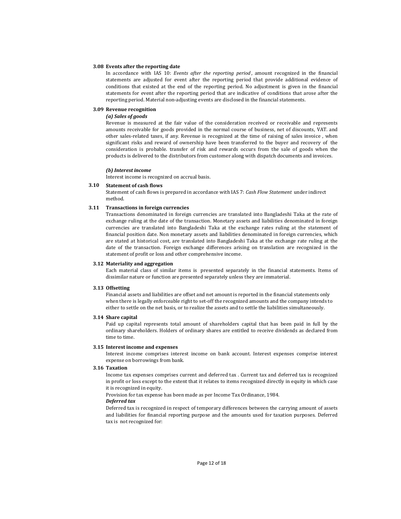#### **3.08 Events after the reporting date**

In accordance with IAS 10: *Events after the reporting period* , amount recognized in the financial statements are adjusted for event after the reporting period that provide additional evidence of conditions that existed at the end of the reporting period. No adjustment is given in the financial statements for event after the reporting period that are indicative of conditions that arose after the reporting period. Material non-adjusting events are disclosed in the financial statements.

#### **3.09 Revenue recognition**

### *(a) Sales of goods*

Revenue is measured at the fair value of the consideration received or receivable and represents amounts receivable for goods provided in the normal course of business, net of discounts, VAT. and other sales-related taxes, if any. Revenue is recognized at the time of raising of sales invoice , when significant risks and reward of ownership have been transferred to the buyer and recovery of the consideration is probable. transfer of risk and rewards occurs from the sale of goods when the products is delivered to the distributors from customer along with dispatch documents and invoices.

#### *(b) Interest income*

Interest income is recognized on accrual basis.

#### **3.10 Statement of cash flows**

Statement of cash flows is prepared in accordance with IAS 7: *Cash Flow Statement* under indirect method.

### **3.11 Transactions in foreign currencies**

Transactions denominated in foreign currencies are translated into Bangladeshi Taka at the rate of exchange ruling at the date of the transaction. Monetary assets and liabilities denominated in foreign currencies are translated into Bangladeshi Taka at the exchange rates ruling at the statement of financial position date. Non monetary assets and liabilities denominated in foreign currencies, which are stated at historical cost, are translated into Bangladeshi Taka at the exchange rate ruling at the date of the transaction. Foreign exchange differences arising on translation are recognized in the statement of profit or loss and other comprehensive income.

#### **3.12 Materiality and aggregation**

Each material class of similar items is presented separately in the financial statements. Items of dissimilar nature or function are presented separately unless they are immaterial.

#### **3.13 Offsetting**

Financial assets and liabilities are offset and net amount is reported in the financial statements only when there is legally enforceable right to set-off the recognized amounts and the company intends to either to settle on the net basis, or to realize the assets and to settle the liabilities simultaneously.

#### **3.14 Share capital**

Paid up capital represents total amount of shareholders capital that has been paid in full by the ordinary shareholders. Holders of ordinary shares are entitled to receive dividends as declared from time to time.

#### **3.15 Interest income and expenses**

Interest income comprises interest income on bank account. Interest expenses comprise interest expense on borrowings from bank.

#### **3.16 Taxation**

Income tax expenses comprises current and deferred tax . Current tax and deferred tax is recognized in profit or loss except to the extent that it relates to items recognized directly in equity in which case it is recognized in equity.

Provision for tax expense has been made as per Income Tax Ordinance, 1984.

#### *Deferred tax*

Deferred tax is recognized in respect of temporary differences between the carrying amount of assets and liabilities for financial reporting purpose and the amounts used for taxation purposes. Deferred tax is not recognized for: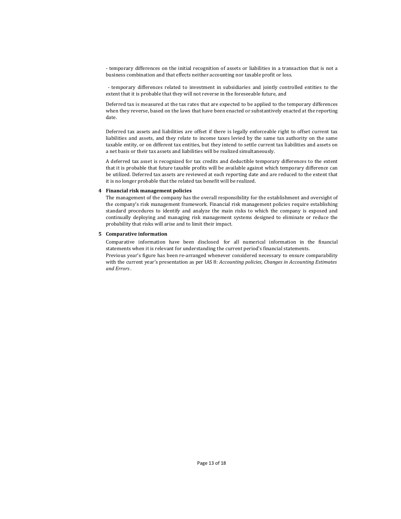- temporary differences on the initial recognition of assets or liabilities in a transaction that is not a business combination and that effects neither accounting nor taxable profit or loss.

- temporary differences related to investment in subsidiaries and jointly controlled entities to the extent that it is probable that they will not reverse in the foreseeable future, and

Deferred tax is measured at the tax rates that are expected to be applied to the temporary differences when they reverse, based on the laws that have been enacted or substantively enacted at the reporting date.

Deferred tax assets and liabilities are offset if there is legally enforceable right to offset current tax liabilities and assets, and they relate to income taxes levied by the same tax authority on the same taxable entity, or on different tax entities, but they intend to settle current tax liabilities and assets on a net basis or their tax assets and liabilities will be realized simultaneously.

A deferred tax asset is recognized for tax credits and deductible temporary differences to the extent that it is probable that future taxable profits will be available against which temporary difference can be utilized. Deferred tax assets are reviewed at each reporting date and are reduced to the extent that it is no longer probable that the related tax benefit will be realized.

#### **4 Financial risk management policies**

The management of the company has the overall responsibility for the establishment and oversight of the company's risk management framework. Financial risk management policies require establishing standard procedures to identify and analyze the main risks to which the company is exposed and continually deploying and managing risk management systems designed to eliminate or reduce the probability that risks will arise and to limit their impact.

#### **5 Comparative information**

Comparative information have been disclosed for all numerical information in the financial statements when it is relevant for understanding the current period's financial statements. Previous year's figure has been re-arranged whenever considered necessary to ensure comparability with the current year's presentation as per IAS 8: *Accounting policies, Changes in Accounting Estimates and Errors*.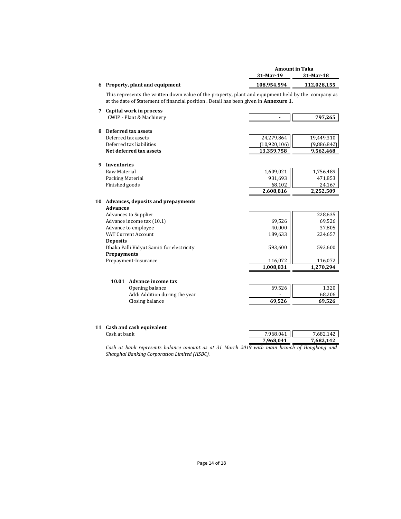|   |                                                                                                                                                                                                    | 31-Mar-19    | 31-Mar-18   |
|---|----------------------------------------------------------------------------------------------------------------------------------------------------------------------------------------------------|--------------|-------------|
| 6 | Property, plant and equipment                                                                                                                                                                      | 108,954,594  | 112,028,155 |
|   | This represents the written down value of the property, plant and equipment held by the company as<br>at the date of Statement of financial position . Detail has been given in <b>Annexure 1.</b> |              |             |
| 7 | Capital work in process                                                                                                                                                                            |              |             |
|   | <b>CWIP</b> - Plant & Machinery                                                                                                                                                                    |              | 797,265     |
| 8 | Deferred tax assets                                                                                                                                                                                |              |             |
|   | Deferred tax assets                                                                                                                                                                                | 24,279,864   | 19,449,310  |
|   | Deferred tax liabilities                                                                                                                                                                           | (10,920,106) | (9,886,842) |
|   | Net deferred tax assets                                                                                                                                                                            | 13,359,758   | 9,562,468   |
| 9 | <b>Inventories</b>                                                                                                                                                                                 |              |             |
|   | Raw Material                                                                                                                                                                                       | 1,609,021    | 1,756,489   |
|   | Packing Material                                                                                                                                                                                   | 931,693      | 471,853     |
|   | Finished goods                                                                                                                                                                                     | 68,102       | 24,167      |
|   |                                                                                                                                                                                                    | 2,608,816    | 2,252,509   |
|   | 10 Advances, deposits and prepayments                                                                                                                                                              |              |             |
|   | <b>Advances</b>                                                                                                                                                                                    |              |             |
|   | <b>Advances to Supplier</b>                                                                                                                                                                        |              | 228,635     |
|   | Advance income tax (10.1)                                                                                                                                                                          | 69,526       | 69,526      |
|   | Advance to employee                                                                                                                                                                                | 40,000       | 37,805      |
|   | <b>VAT Current Account</b>                                                                                                                                                                         | 189,633      | 224,657     |
|   | <b>Deposits</b>                                                                                                                                                                                    |              |             |
|   | Dhaka Palli Vidyut Samiti for electricity                                                                                                                                                          | 593,600      | 593,600     |
|   | <b>Prepayments</b>                                                                                                                                                                                 |              |             |
|   | Prepayment-Insurance                                                                                                                                                                               | 116,072      | 116,072     |
|   |                                                                                                                                                                                                    | 1,008,831    | 1,270,294   |
|   | 10.01 Advance income tax                                                                                                                                                                           |              |             |
|   | Opening balance                                                                                                                                                                                    | 69,526       | 1,320       |
|   | Add: Addition during the year                                                                                                                                                                      |              | 68,206      |

**Amount in Taka**

# **11 Cash and cash equivalent**

| Gash and cash equivalent |           |           |
|--------------------------|-----------|-----------|
| Cash at bank             | 7.968.041 | 7.682.142 |
|                          | 7,968,041 | 7.682.142 |

Closing balance 69,526 69,526

*Cash at bank represents balance amount as at 31 March 2019 with main branch of Hongkong and Shanghai Banking Corporation Limited (HSBC).*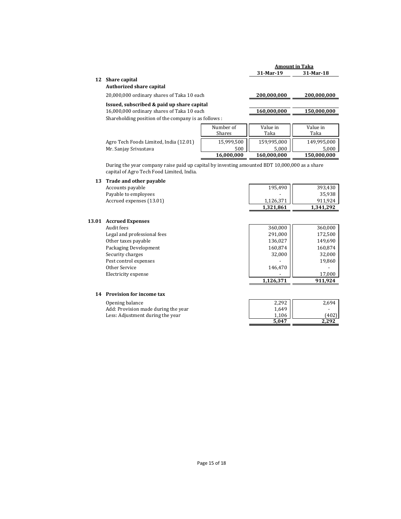|    |                                                      |           | <b>Amount in Taka</b> |             |
|----|------------------------------------------------------|-----------|-----------------------|-------------|
|    |                                                      |           | 31-Mar-19             | 31-Mar-18   |
| 12 | <b>Share capital</b>                                 |           |                       |             |
|    | <b>Authorized share capital</b>                      |           |                       |             |
|    | 20,000,000 ordinary shares of Taka 10 each           |           | 200,000,000           | 200,000,000 |
|    | Issued, subscribed & paid up share capital           |           |                       |             |
|    | 16,000,000 ordinary shares of Taka 10 each           |           | 160,000,000           | 150,000,000 |
|    | Shareholding position of the company is as follows : |           |                       |             |
|    |                                                      | Number of | Value in              | Value in    |

Shares | Taka | Taka Agro Tech Foods Limited, India (12.01) 15,999,500 159,995,000 149,995,000 Mr. Sanjay Srivastava 5,000 5,000 5,000 5,000 5,000 5,000 5,000 5,000 5,000 5,000 5,000 5,000 5,000 5,000 5,000 5,000 5,000 5,000 5,000 5,000 5,000 5,000 5,000 5,000 5,000 5,000 5,000 5,000 5,000 5,000 5,000 5,000 5,000 5,  **16,000,000 160,000,000 150,000,000**

During the year company raise paid up capital by investing amounted BDT 10,000,000 as a share capital of Agro Tech Food Limited, India.

### **13 Trade and other payable**

| Accounts payable         |
|--------------------------|
| Payable to employees     |
| Accrued expenses (13.01) |
|                          |

|  | 13.01 Accrued Expenses |  |
|--|------------------------|--|
|--|------------------------|--|

| Audit fees                  |
|-----------------------------|
| Legal and professional fees |
| Other taxes payable         |
| Packaging Development       |
| Security charges            |
| Pest control expenses       |
| Other Service               |
| Electricity expense         |

|                          | 1,321,861 | 1.341.292 |
|--------------------------|-----------|-----------|
| Accrued expenses (13.01) | 1.126.371 | 911.924   |
| Payable to employees     |           | 35.938    |
| Accounts payable         | 195,490   | 393.430   |

| Audit fees                  | 360,000   | 360,000 |
|-----------------------------|-----------|---------|
| Legal and professional fees | 291,000   | 172,500 |
| Other taxes payable         | 136,027   | 149,690 |
| Packaging Development       | 160,874   | 160,874 |
| Security charges            | 32,000    | 32,000  |
| Pest control expenses       |           | 19,860  |
| Other Service               | 146,470   |         |
| Electricity expense         |           | 17,000  |
|                             | 1,126,371 | 911,924 |
|                             |           |         |

### **14 Provision for income tax**

Opening balance Add: Provision made during the year Less: Adjustment during the year

| 2,292<br>1,649 | 2,694 |
|----------------|-------|
|                |       |
| 1,106          | (402) |
| 5,047          | 2.292 |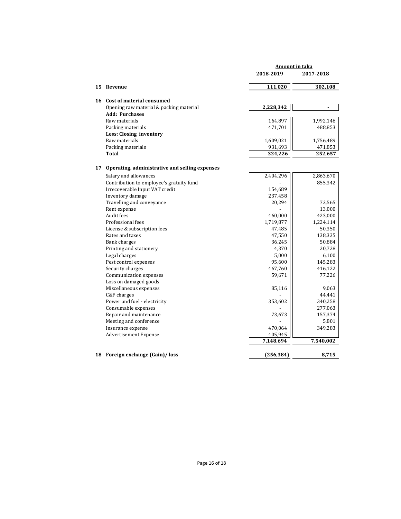|                       |                                                                         |            | <b>Amount in taka</b> |  |  |
|-----------------------|-------------------------------------------------------------------------|------------|-----------------------|--|--|
|                       |                                                                         | 2018-2019  | 2017-2018             |  |  |
| 15 Revenue            |                                                                         | 111,020    | 302,108               |  |  |
|                       | 16 Cost of material consumed                                            |            |                       |  |  |
|                       | Opening raw material & packing material                                 | 2,228,342  | $\overline{a}$        |  |  |
| <b>Add: Purchases</b> |                                                                         |            |                       |  |  |
| Raw materials         |                                                                         | 164,897    | 1,992,146             |  |  |
| Packing materials     |                                                                         | 471,701    | 488,853               |  |  |
|                       | Less: Closing inventory                                                 |            |                       |  |  |
| Raw materials         |                                                                         | 1,609,021  | 1,756,489             |  |  |
| Packing materials     |                                                                         | 931,693    | 471,853               |  |  |
| <b>Total</b>          |                                                                         | 324,226    | 252,657               |  |  |
| 17                    |                                                                         |            |                       |  |  |
|                       | Operating, administrative and selling expenses<br>Salary and allowances | 2,404,296  | 2,863,670             |  |  |
|                       | Contribution to employee's gratuity fund                                |            | 855,342               |  |  |
|                       | Irrecoverable Input VAT credit                                          | 154,689    |                       |  |  |
| Inventory damage      |                                                                         | 237,458    |                       |  |  |
|                       | Travelling and conveyance                                               | 20,294     | 72,565                |  |  |
| Rent expense          |                                                                         |            | 13,000                |  |  |
| Audit fees            |                                                                         | 460,000    | 423,000               |  |  |
| Professional fees     |                                                                         | 1,719,877  | 1,224,114             |  |  |
|                       | License & subscription fees                                             | 47,485     | 50,350                |  |  |
| Rates and taxes       |                                                                         | 47,550     | 138,335               |  |  |
| Bank charges          |                                                                         | 36,245     | 50,884                |  |  |
|                       | Printing and stationery                                                 | 4,370      | 20,728                |  |  |
| Legal charges         |                                                                         | 5,000      | 6,100                 |  |  |
|                       | Pest control expenses                                                   | 95,600     | 145,283               |  |  |
| Security charges      |                                                                         | 467,760    | 416,122               |  |  |
|                       | Communication expenses                                                  | 59,671     | 77,226                |  |  |
|                       | Loss on damaged goods                                                   |            |                       |  |  |
|                       | Miscellaneous expenses                                                  | 85,116     | 9,063                 |  |  |
| C&F charges           |                                                                         |            | 44,441                |  |  |
|                       | Power and fuel - electricity                                            | 353,602    | 340,258               |  |  |
|                       | Consumable expenses                                                     |            | 277,063               |  |  |
|                       | Repair and maintenance                                                  | 73,673     | 157,374               |  |  |
|                       | Meeting and conference                                                  |            | 5,801                 |  |  |
| Insurance expense     |                                                                         | 470,064    | 349,283               |  |  |
|                       | <b>Advertisement Expense</b>                                            | 405,945    |                       |  |  |
|                       |                                                                         | 7,148,694  | 7,540,002             |  |  |
|                       | 18 Foreign exchange (Gain)/loss                                         | (256, 384) | 8,715                 |  |  |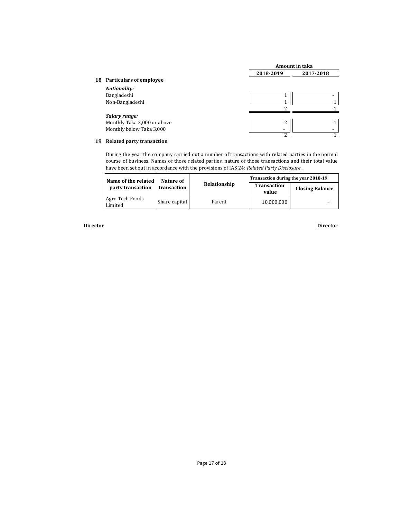|                             | <b>Amount in taka</b> |           |  |  |
|-----------------------------|-----------------------|-----------|--|--|
|                             | 2018-2019             | 2017-2018 |  |  |
| 18 Particulars of employee  |                       |           |  |  |
| Nationality:                |                       |           |  |  |
| Bangladeshi                 |                       |           |  |  |
| Non-Bangladeshi             |                       |           |  |  |
|                             |                       |           |  |  |
| Salary range:               |                       |           |  |  |
| Monthly Taka 3,000 or above |                       |           |  |  |
| Monthly below Taka 3,000    |                       |           |  |  |
|                             |                       |           |  |  |
| 40.5                        |                       |           |  |  |

#### **19 Related party transaction**

During the year the company carried out a number of transactions with related parties in the normal course of business. Names of those related parties, nature of those transactions and their total value have been set out in accordance with the provisions of IAS 24: *Related Party Disclosure* .

| Name of the related<br>party transaction | Nature of<br>transaction |              | Transaction during the year 2018-19 |                        |  |
|------------------------------------------|--------------------------|--------------|-------------------------------------|------------------------|--|
|                                          |                          | Relationship | <b>Transaction</b><br>value         | <b>Closing Balance</b> |  |
| Agro Tech Foods<br>Limited               | Share capital            | Parent       | 10,000,000                          |                        |  |

**Director Director**